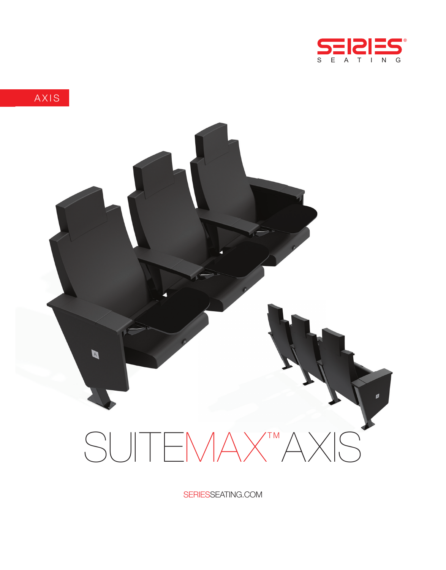



SERIESSEATING.COM